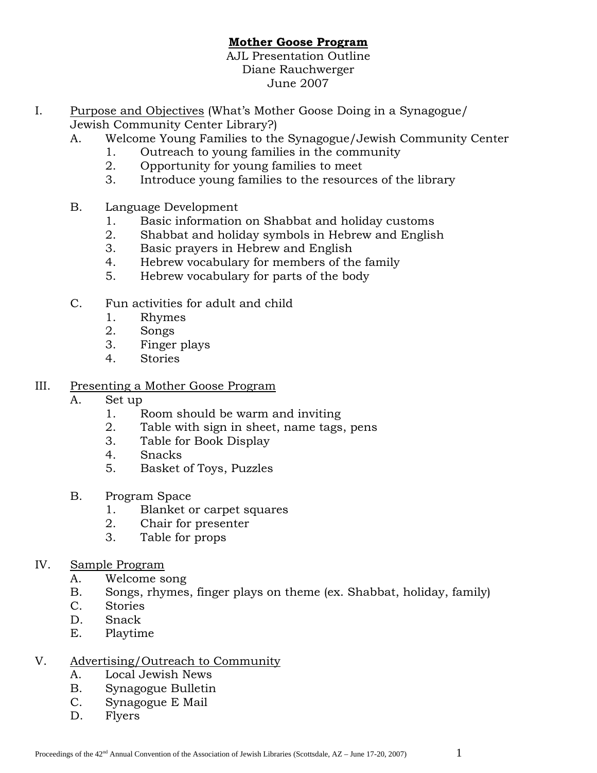# **Mother Goose Program**

AJL Presentation Outline Diane Rauchwerger June 2007

- I. Purpose and Objectives (What's Mother Goose Doing in a Synagogue/ Jewish Community Center Library?)
	- A. Welcome Young Families to the Synagogue/Jewish Community Center
		- 1. Outreach to young families in the community
		- 2. Opportunity for young families to meet
		- 3. Introduce young families to the resources of the library
	- B. Language Development
		- 1. Basic information on Shabbat and holiday customs
		- 2. Shabbat and holiday symbols in Hebrew and English
		- 3. Basic prayers in Hebrew and English
		- 4. Hebrew vocabulary for members of the family
		- 5. Hebrew vocabulary for parts of the body
	- C. Fun activities for adult and child
		- 1. Rhymes
		- 2. Songs
		- 3. Finger plays
		- 4. Stories

# III. Presenting a Mother Goose Program

- A. Set up
	- 1. Room should be warm and inviting
	- 2. Table with sign in sheet, name tags, pens
	- 3. Table for Book Display
	- 4. Snacks
	- 5. Basket of Toys, Puzzles
- B. Program Space
	- 1. Blanket or carpet squares
	- 2. Chair for presenter
	- 3. Table for props
- IV. Sample Program
	- A. Welcome song
	- B. Songs, rhymes, finger plays on theme (ex. Shabbat, holiday, family)
	- C. Stories
	- D. Snack
	- E. Playtime

#### V. Advertising/Outreach to Community

- A. Local Jewish News
- B. Synagogue Bulletin
- C. Synagogue E Mail
- D. Flyers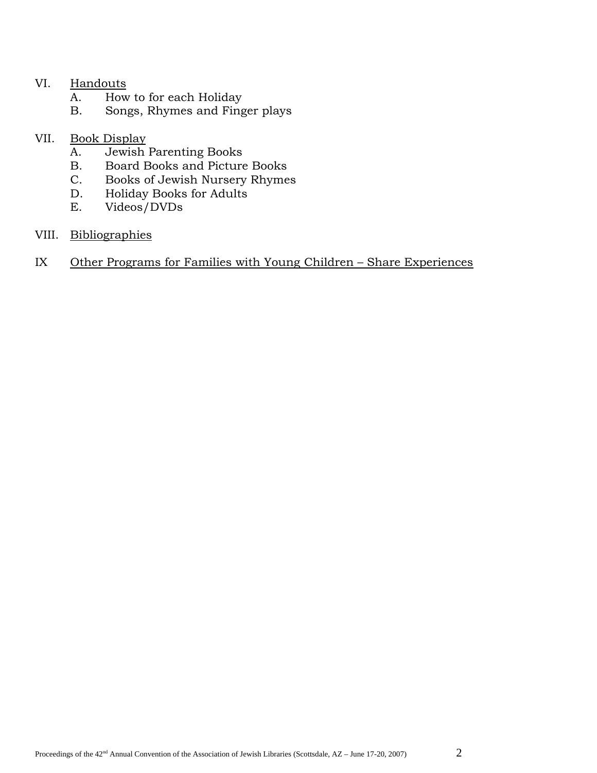#### VI. Handouts

- A. How to for each Holiday
- B. Songs, Rhymes and Finger plays

## VII. Book Display

- A. Jewish Parenting Books
- B. Board Books and Picture Books
- C. Books of Jewish Nursery Rhymes
- D. Holiday Books for Adults
- E. Videos/DVDs

### VIII. Bibliographies

## IX Other Programs for Families with Young Children – Share Experiences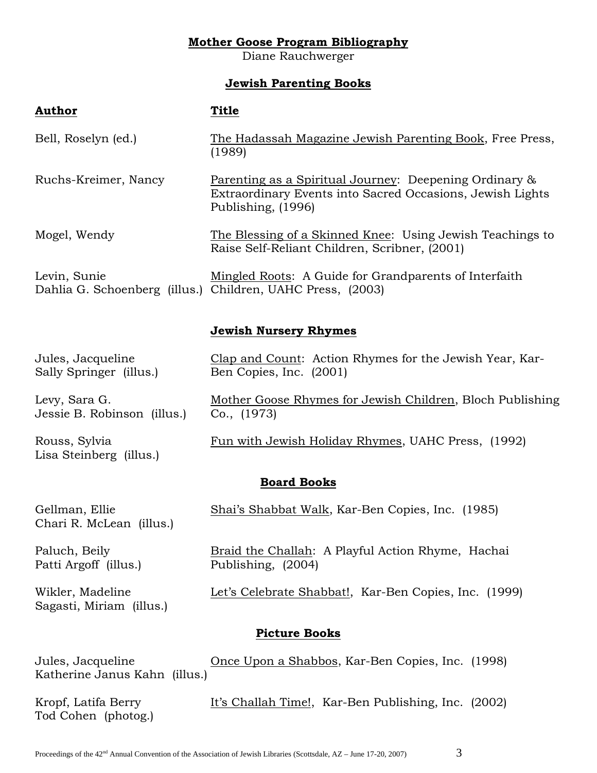### **Mother Goose Program Bibliography**

Diane Rauchwerger

# **Jewish Parenting Books**

| <b>Author</b>                                | <b>Title</b>                                                                                                                              |
|----------------------------------------------|-------------------------------------------------------------------------------------------------------------------------------------------|
| Bell, Roselyn (ed.)                          | The Hadassah Magazine Jewish Parenting Book, Free Press,<br>(1989)                                                                        |
| Ruchs-Kreimer, Nancy                         | Parenting as a Spiritual Journey: Deepening Ordinary &<br>Extraordinary Events into Sacred Occasions, Jewish Lights<br>Publishing, (1996) |
| Mogel, Wendy                                 | The Blessing of a Skinned Knee: Using Jewish Teachings to<br>Raise Self-Reliant Children, Scribner, (2001)                                |
| Levin, Sunie                                 | Mingled Roots: A Guide for Grandparents of Interfaith<br>Dahlia G. Schoenberg (illus.) Children, UAHC Press, (2003)                       |
|                                              | <b>Jewish Nursery Rhymes</b>                                                                                                              |
| Jules, Jacqueline<br>Sally Springer (illus.) | Clap and Count: Action Rhymes for the Jewish Year, Kar-<br>Ben Copies, Inc. (2001)                                                        |
| Levy, Sara G.<br>Jessie B. Robinson (illus.) | Mother Goose Rhymes for Jewish Children, Bloch Publishing<br>Co., (1973)                                                                  |
| Rouss, Sylvia<br>Lisa Steinberg (illus.)     | Fun with Jewish Holiday Rhymes, UAHC Press, (1992)                                                                                        |
| <b>Board Books</b>                           |                                                                                                                                           |
| Gellman, Ellie<br>Chari R. McLean (illus.)   | Shai's Shabbat Walk, Kar-Ben Copies, Inc. (1985)                                                                                          |
| Paluch, Beily<br>Patti Argoff (illus.)       | Braid the Challah: A Playful Action Rhyme, Hachai<br>Publishing, (2004)                                                                   |
| Wikler, Madeline<br>Sagasti, Miriam (illus.) | Let's Celebrate Shabbat!, Kar-Ben Copies, Inc. (1999)                                                                                     |
| <b>Picture Books</b>                         |                                                                                                                                           |

Jules, Jacqueline Once Upon a Shabbos, Kar-Ben Copies, Inc. (1998) Katherine Janus Kahn (illus.)

Tod Cohen (photog.)

Kropf, Latifa Berry It's Challah Time!, Kar-Ben Publishing, Inc. (2002)